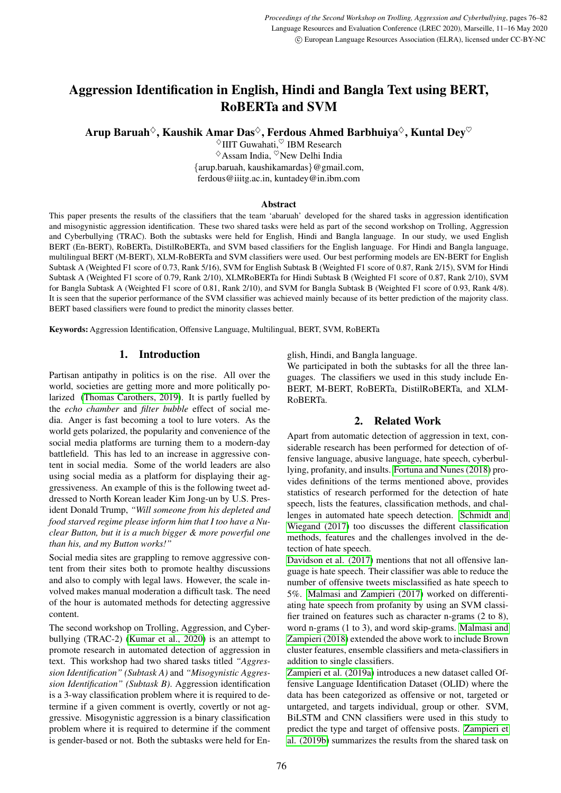# Aggression Identification in English, Hindi and Bangla Text using BERT, RoBERTa and SVM

Arup Baruah $\diamond$ , Kaushik Amar Das $\diamond$ , Ferdous Ahmed Barbhuiya $\diamond$ , Kuntal Dey $\heartsuit$ 

 $\Diamond$ IIIT Guwahati, $\degree$ IBM Research  $\Diamond$ Assam India,  $\Diamond$ New Delhi India {arup.baruah, kaushikamardas}@gmail.com, ferdous@iiitg.ac.in, kuntadey@in.ibm.com

#### Abstract

This paper presents the results of the classifiers that the team 'abaruah' developed for the shared tasks in aggression identification and misogynistic aggression identification. These two shared tasks were held as part of the second workshop on Trolling, Aggression and Cyberbullying (TRAC). Both the subtasks were held for English, Hindi and Bangla language. In our study, we used English BERT (En-BERT), RoBERTa, DistilRoBERTa, and SVM based classifiers for the English language. For Hindi and Bangla language, multilingual BERT (M-BERT), XLM-RoBERTa and SVM classifiers were used. Our best performing models are EN-BERT for English Subtask A (Weighted F1 score of 0.73, Rank 5/16), SVM for English Subtask B (Weighted F1 score of 0.87, Rank 2/15), SVM for Hindi Subtask A (Weighted F1 score of 0.79, Rank 2/10), XLMRoBERTa for Hindi Subtask B (Weighted F1 score of 0.87, Rank 2/10), SVM for Bangla Subtask A (Weighted F1 score of 0.81, Rank 2/10), and SVM for Bangla Subtask B (Weighted F1 score of 0.93, Rank 4/8). It is seen that the superior performance of the SVM classifier was achieved mainly because of its better prediction of the majority class. BERT based classifiers were found to predict the minority classes better.

Keywords: Aggression Identification, Offensive Language, Multilingual, BERT, SVM, RoBERTa

# 1. Introduction

Partisan antipathy in politics is on the rise. All over the world, societies are getting more and more politically polarized [\(Thomas Carothers, 2019\)](#page-6-0). It is partly fuelled by the *echo chamber* and *filter bubble* effect of social media. Anger is fast becoming a tool to lure voters. As the world gets polarized, the popularity and convenience of the social media platforms are turning them to a modern-day battlefield. This has led to an increase in aggressive content in social media. Some of the world leaders are also using social media as a platform for displaying their aggressiveness. An example of this is the following tweet addressed to North Korean leader Kim Jong-un by U.S. President Donald Trump, *"Will someone from his depleted and food starved regime please inform him that I too have a Nuclear Button, but it is a much bigger & more powerful one than his, and my Button works!"*

Social media sites are grappling to remove aggressive content from their sites both to promote healthy discussions and also to comply with legal laws. However, the scale involved makes manual moderation a difficult task. The need of the hour is automated methods for detecting aggressive content.

The second workshop on Trolling, Aggression, and Cyberbullying (TRAC-2) [\(Kumar et al., 2020\)](#page-6-1) is an attempt to promote research in automated detection of aggression in text. This workshop had two shared tasks titled *"Aggression Identification" (Subtask A)* and *"Misogynistic Aggression Identification" (Subtask B)*. Aggression identification is a 3-way classification problem where it is required to determine if a given comment is overtly, covertly or not aggressive. Misogynistic aggression is a binary classification problem where it is required to determine if the comment is gender-based or not. Both the subtasks were held for English, Hindi, and Bangla language.

We participated in both the subtasks for all the three languages. The classifiers we used in this study include En-BERT, M-BERT, RoBERTa, DistilRoBERTa, and XLM-RoBERTa.

# 2. Related Work

Apart from automatic detection of aggression in text, considerable research has been performed for detection of offensive language, abusive language, hate speech, cyberbullying, profanity, and insults. [Fortuna and Nunes \(2018\)](#page-6-2) provides definitions of the terms mentioned above, provides statistics of research performed for the detection of hate speech, lists the features, classification methods, and challenges in automated hate speech detection. [Schmidt and](#page-6-3) [Wiegand \(2017\)](#page-6-3) too discusses the different classification methods, features and the challenges involved in the detection of hate speech.

[Davidson et al. \(2017\)](#page-5-0) mentions that not all offensive language is hate speech. Their classifier was able to reduce the number of offensive tweets misclassified as hate speech to 5%. [Malmasi and Zampieri \(2017\)](#page-6-4) worked on differentiating hate speech from profanity by using an SVM classifier trained on features such as character n-grams (2 to 8), word n-grams (1 to 3), and word skip-grams. [Malmasi and](#page-6-5) [Zampieri \(2018\)](#page-6-5) extended the above work to include Brown cluster features, ensemble classifiers and meta-classifiers in addition to single classifiers.

[Zampieri et al. \(2019a\)](#page-6-6) introduces a new dataset called Offensive Language Identification Dataset (OLID) where the data has been categorized as offensive or not, targeted or untargeted, and targets individual, group or other. SVM, BiLSTM and CNN classifiers were used in this study to predict the type and target of offensive posts. [Zampieri et](#page-6-7) [al. \(2019b\)](#page-6-7) summarizes the results from the shared task on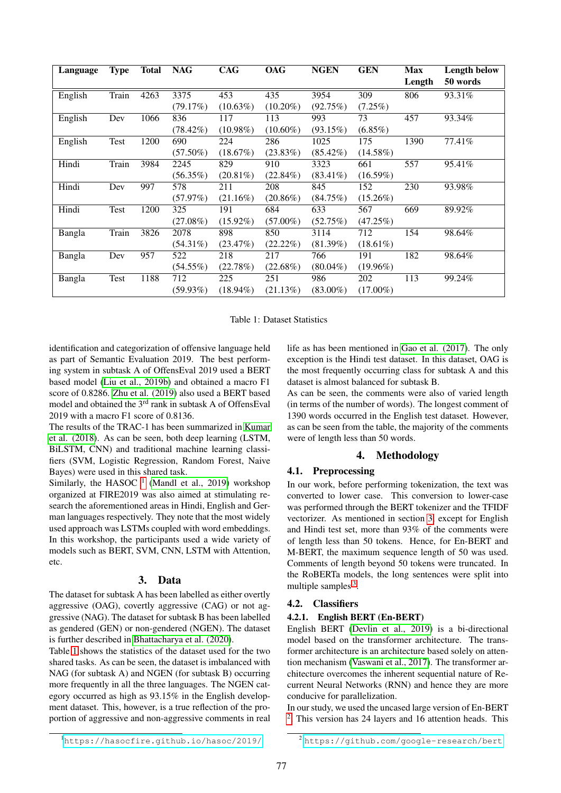| Language | <b>Type</b> | <b>Total</b> | <b>NAG</b>  | <b>CAG</b>  | <b>OAG</b>  | <b>NGEN</b> | <b>GEN</b>  | <b>Max</b> | Length below |
|----------|-------------|--------------|-------------|-------------|-------------|-------------|-------------|------------|--------------|
|          |             |              |             |             |             |             |             | Length     | 50 words     |
| English  | Train       | 4263         | 3375        | 453         | 435         | 3954        | 309         | 806        | 93.31%       |
|          |             |              | (79.17%)    | $(10.63\%)$ | $(10.20\%)$ | (92.75%)    | $(7.25\%)$  |            |              |
| English  | Dev         | 1066         | 836         | 117         | 113         | 993         | 73          | 457        | 93.34%       |
|          |             |              | $(78.42\%)$ | $(10.98\%)$ | $(10.60\%)$ | (93.15%)    | $(6.85\%)$  |            |              |
| English  | <b>Test</b> | 1200         | 690         | 224         | 286         | 1025        | 175         | 1390       | 77.41%       |
|          |             |              | $(57.50\%)$ | (18.67%)    | $(23.83\%)$ | $(85.42\%)$ | $(14.58\%)$ |            |              |
| Hindi    | Train       | 3984         | 2245        | 829         | 910         | 3323        | 661         | 557        | 95.41%       |
|          |             |              | $(56.35\%)$ | $(20.81\%)$ | $(22.84\%)$ | $(83.41\%)$ | (16.59%)    |            |              |
| Hindi    | Dev         | 997          | 578         | 211         | 208         | 845         | 152         | 230        | 93.98%       |
|          |             |              | (57.97%)    | $(21.16\%)$ | $(20.86\%)$ | (84.75%)    | $(15.26\%)$ |            |              |
| Hindi    | Test        | 1200         | 325         | 191         | 684         | 633         | 567         | 669        | 89.92%       |
|          |             |              | $(27.08\%)$ | $(15.92\%)$ | $(57.00\%)$ | (52.75%)    | (47.25%)    |            |              |
| Bangla   | Train       | 3826         | 2078        | 898         | 850         | 3114        | 712         | 154        | 98.64%       |
|          |             |              | $(54.31\%)$ | (23.47%)    | $(22.22\%)$ | $(81.39\%)$ | $(18.61\%)$ |            |              |
| Bangla   | Dev         | 957          | 522         | 218         | 217         | 766         | 191         | 182        | 98.64%       |
|          |             |              | $(54.55\%)$ | (22.78%)    | $(22.68\%)$ | $(80.04\%)$ | $(19.96\%)$ |            |              |
| Bangla   | Test        | 1188         | 712         | 225         | 251         | 986         | 202         | 113        | 99.24%       |
|          |             |              | $(59.93\%)$ | $(18.94\%)$ | (21.13%)    | $(83.00\%)$ | $(17.00\%)$ |            |              |

Table 1: Dataset Statistics

<span id="page-1-1"></span>identification and categorization of offensive language held as part of Semantic Evaluation 2019. The best performing system in subtask A of OffensEval 2019 used a BERT based model [\(Liu et al., 2019b\)](#page-6-8) and obtained a macro F1 score of 0.8286. [Zhu et al. \(2019\)](#page-6-9) also used a BERT based model and obtained the 3rd rank in subtask A of OffensEval 2019 with a macro F1 score of 0.8136.

The results of the TRAC-1 has been summarized in [Kumar](#page-6-10) [et al. \(2018\)](#page-6-10). As can be seen, both deep learning (LSTM, BiLSTM, CNN) and traditional machine learning classifiers (SVM, Logistic Regression, Random Forest, Naive Bayes) were used in this shared task.

Similarly, the HASOC  $<sup>1</sup>$  $<sup>1</sup>$  $<sup>1</sup>$  [\(Mandl et al., 2019\)](#page-6-11) workshop</sup> organized at FIRE2019 was also aimed at stimulating research the aforementioned areas in Hindi, English and German languages respectively. They note that the most widely used approach was LSTMs coupled with word embeddings. In this workshop, the participants used a wide variety of models such as BERT, SVM, CNN, LSTM with Attention, etc.

## 3. Data

<span id="page-1-2"></span>The dataset for subtask A has been labelled as either overtly aggressive (OAG), covertly aggressive (CAG) or not aggressive (NAG). The dataset for subtask B has been labelled as gendered (GEN) or non-gendered (NGEN). The dataset is further described in [Bhattacharya et al. \(2020\)](#page-5-1).

Table [1](#page-1-1) shows the statistics of the dataset used for the two shared tasks. As can be seen, the dataset is imbalanced with NAG (for subtask A) and NGEN (for subtask B) occurring more frequently in all the three languages. The NGEN category occurred as high as 93.15% in the English development dataset. This, however, is a true reflection of the proportion of aggressive and non-aggressive comments in real

life as has been mentioned in [Gao et al. \(2017\)](#page-6-12). The only exception is the Hindi test dataset. In this dataset, OAG is the most frequently occurring class for subtask A and this dataset is almost balanced for subtask B.

As can be seen, the comments were also of varied length (in terms of the number of words). The longest comment of 1390 words occurred in the English test dataset. However, as can be seen from the table, the majority of the comments were of length less than 50 words.

# 4. Methodology

# <span id="page-1-4"></span>4.1. Preprocessing

In our work, before performing tokenization, the text was converted to lower case. This conversion to lower-case was performed through the BERT tokenizer and the TFIDF vectorizer. As mentioned in section [3,](#page-1-2) except for English and Hindi test set, more than 93% of the comments were of length less than 50 tokens. Hence, for En-BERT and M-BERT, the maximum sequence length of 50 was used. Comments of length beyond 50 tokens were truncated. In the RoBERTa models, the long sentences were split into multiple samples <sup>[3](#page-3-0)</sup>.

## 4.2. Classifiers

# 4.2.1. English BERT (En-BERT)

English BERT [\(Devlin et al., 2019\)](#page-5-2) is a bi-directional model based on the transformer architecture. The transformer architecture is an architecture based solely on attention mechanism [\(Vaswani et al., 2017\)](#page-6-13). The transformer architecture overcomes the inherent sequential nature of Recurrent Neural Networks (RNN) and hence they are more conducive for parallelization.

In our study, we used the uncased large version of En-BERT [2](#page-1-3) . This version has 24 layers and 16 attention heads. This

<span id="page-1-0"></span><sup>1</sup><https://hasocfire.github.io/hasoc/2019/>

<span id="page-1-3"></span><sup>2</sup> <https://github.com/google-research/bert>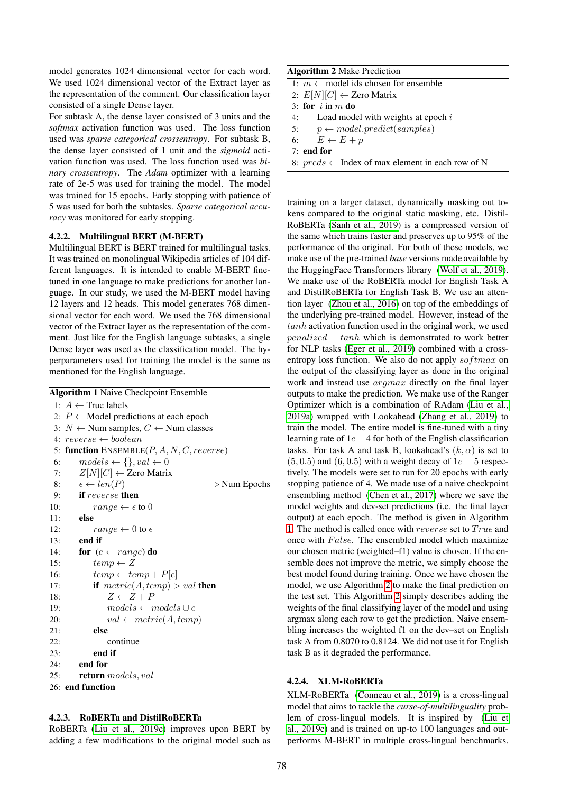model generates 1024 dimensional vector for each word. We used 1024 dimensional vector of the Extract layer as the representation of the comment. Our classification layer consisted of a single Dense layer.

For subtask A, the dense layer consisted of 3 units and the *softmax* activation function was used. The loss function used was *sparse categorical crossentropy*. For subtask B, the dense layer consisted of 1 unit and the *sigmoid* activation function was used. The loss function used was *binary crossentropy*. The *Adam* optimizer with a learning rate of 2e-5 was used for training the model. The model was trained for 15 epochs. Early stopping with patience of 5 was used for both the subtasks. *Sparse categorical accuracy* was monitored for early stopping.

### 4.2.2. Multilingual BERT (M-BERT)

Multilingual BERT is BERT trained for multilingual tasks. It was trained on monolingual Wikipedia articles of 104 different languages. It is intended to enable M-BERT finetuned in one language to make predictions for another language. In our study, we used the M-BERT model having 12 layers and 12 heads. This model generates 768 dimensional vector for each word. We used the 768 dimensional vector of the Extract layer as the representation of the comment. Just like for the English language subtasks, a single Dense layer was used as the classification model. The hyperparameters used for training the model is the same as mentioned for the English language.

<span id="page-2-0"></span>

|     | <b>Algorithm 1 Naive Checkpoint Ensemble</b>                |
|-----|-------------------------------------------------------------|
|     | 1: $A \leftarrow$ True labels                               |
|     | 2: $P \leftarrow$ Model predictions at each epoch           |
|     | 3: $N \leftarrow$ Num samples, $C \leftarrow$ Num classes   |
|     | 4: $reverse \leftarrow boolean$                             |
| 5:  | <b>function</b> $ENSEMBLE(P, A, N, C, reverse)$             |
| 6:  | $models \leftarrow \{\}, val \leftarrow 0$                  |
| 7:  | $Z[N][C] \leftarrow$ Zero Matrix                            |
| 8:  | $\epsilon \leftarrow len(P)$<br>$\triangleright$ Num Epochs |
| 9:  | <b>if</b> reverse then                                      |
| 10: | $range \leftarrow \epsilon$ to 0                            |
| 11: | else                                                        |
| 12: | $range \leftarrow 0$ to $\epsilon$                          |
| 13: | end if                                                      |
| 14: | for $(e \leftarrow range)$ do                               |
| 15: | $temp \leftarrow Z$                                         |
| 16: | $temp \leftarrow temp + P[e]$                               |
| 17: | if $metric(A, temp) > val$ then                             |
| 18: | $Z \leftarrow Z + P$                                        |
| 19: | $models \leftarrow models \cup e$                           |
| 20: | $val \leftarrow metric(A, temp)$                            |
| 21: | else                                                        |
| 22: | continue                                                    |
| 23: | end if                                                      |
| 24: | end for                                                     |
| 25: | <b>return</b> models, val                                   |
|     | 26: end function                                            |

#### <span id="page-2-2"></span>4.2.3. RoBERTa and DistilRoBERTa

RoBERTa [\(Liu et al., 2019c\)](#page-6-14) improves upon BERT by adding a few modifications to the original model such as

### Algorithm 2 Make Prediction

- <span id="page-2-1"></span>1:  $m$  ← model ids chosen for ensemble
- 2:  $E[N][C] \leftarrow$  Zero Matrix
- 3: for  $i$  in  $m$  do
- 4: Load model with weights at epoch  $i$
- 5:  $p \leftarrow model.predict(samples)$
- 6:  $E \leftarrow E + p$
- 7: end for
- 8:  $preds \leftarrow Index of max element in each row of N$

training on a larger dataset, dynamically masking out tokens compared to the original static masking, etc. Distil-RoBERTa [\(Sanh et al., 2019\)](#page-6-15) is a compressed version of the same which trains faster and preserves up to 95% of the performance of the original. For both of these models, we make use of the pre-trained *base* versions made available by the HuggingFace Transformers library [\(Wolf et al., 2019\)](#page-6-16). We make use of the RoBERTa model for English Task A and DistilRoBERTa for English Task B. We use an attention layer [\(Zhou et al., 2016\)](#page-6-17) on top of the embeddings of the underlying pre-trained model. However, instead of the tanh activation function used in the original work, we used  $penalized - tanh$  which is demonstrated to work better for NLP tasks [\(Eger et al., 2019\)](#page-6-18) combined with a crossentropy loss function. We also do not apply  $softmax$  on the output of the classifying layer as done in the original work and instead use argmax directly on the final layer outputs to make the prediction. We make use of the Ranger Optimizer which is a combination of RAdam [\(Liu et al.,](#page-6-19) [2019a\)](#page-6-19) wrapped with Lookahead [\(Zhang et al., 2019\)](#page-6-20) to train the model. The entire model is fine-tuned with a tiny learning rate of  $1e - 4$  for both of the English classification tasks. For task A and task B, lookahead's  $(k, \alpha)$  is set to  $(5, 0.5)$  and  $(6, 0.5)$  with a weight decay of  $1e - 5$  respectively. The models were set to run for 20 epochs with early stopping patience of 4. We made use of a naive checkpoint ensembling method [\(Chen et al., 2017\)](#page-5-3) where we save the model weights and dev-set predictions (i.e. the final layer output) at each epoch. The method is given in Algorithm [1.](#page-2-0) The method is called once with *reverse* set to  $True$  and once with  $False$ . The ensembled model which maximize our chosen metric (weighted–f1) value is chosen. If the ensemble does not improve the metric, we simply choose the best model found during training. Once we have chosen the model, we use Algorithm [2](#page-2-1) to make the final prediction on the test set. This Algorithm [2](#page-2-1) simply describes adding the weights of the final classifying layer of the model and using argmax along each row to get the prediction. Naive ensembling increases the weighted f1 on the dev–set on English task A from 0.8070 to 0.8124. We did not use it for English task B as it degraded the performance.

#### 4.2.4. XLM-RoBERTa

XLM-RoBERTa [\(Conneau et al., 2019\)](#page-5-4) is a cross-lingual model that aims to tackle the *curse-of-multilinguality* problem of cross-lingual models. It is inspired by [\(Liu et](#page-6-14) [al., 2019c\)](#page-6-14) and is trained on up-to 100 languages and outperforms M-BERT in multiple cross-lingual benchmarks.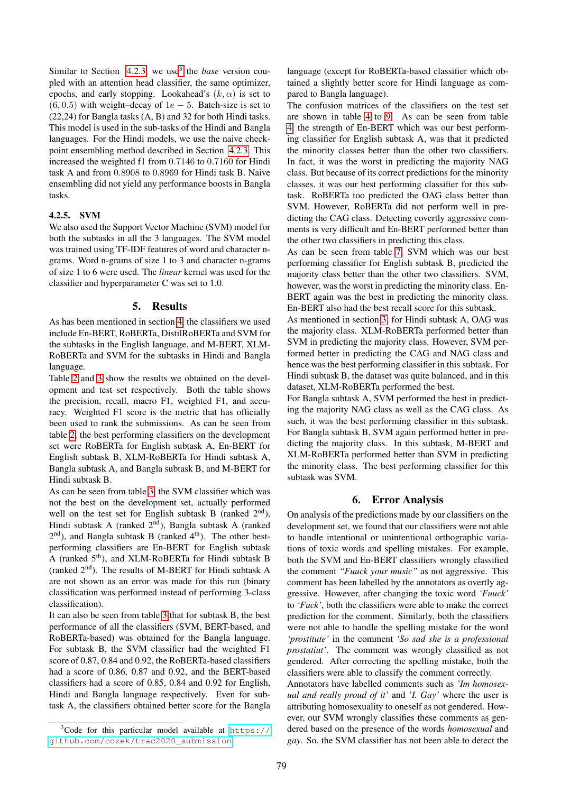Similar to Section [4.2.3,](#page-2-2) we use<sup>[3](#page-3-0)</sup> the *base* version coupled with an attention head classifier, the same optimizer, epochs, and early stopping. Lookahead's  $(k, \alpha)$  is set to  $(6, 0.5)$  with weight–decay of  $1e - 5$ . Batch-size is set to (22,24) for Bangla tasks (A, B) and 32 for both Hindi tasks. This model is used in the sub-tasks of the Hindi and Bangla languages. For the Hindi models, we use the naive checkpoint ensembling method described in Section [4.2.3.](#page-2-2) This increased the weighted f1 from 0.7146 to 0.7160 for Hindi task A and from 0.8908 to 0.8969 for Hindi task B. Naive ensembling did not yield any performance boosts in Bangla tasks.

### 4.2.5. SVM

We also used the Support Vector Machine (SVM) model for both the subtasks in all the 3 languages. The SVM model was trained using TF-IDF features of word and character ngrams. Word n-grams of size 1 to 3 and character n-grams of size 1 to 6 were used. The *linear* kernel was used for the classifier and hyperparameter C was set to 1.0.

### 5. Results

As has been mentioned in section [4,](#page-1-4) the classifiers we used include En-BERT, RoBERTa, DistilRoBERTa and SVM for the subtasks in the English language, and M-BERT, XLM-RoBERTa and SVM for the subtasks in Hindi and Bangla language.

Table [2](#page-4-0) and [3](#page-4-1) show the results we obtained on the development and test set respectively. Both the table shows the precision, recall, macro F1, weighted F1, and accuracy. Weighted F1 score is the metric that has officially been used to rank the submissions. As can be seen from table [2,](#page-4-0) the best performing classifiers on the development set were RoBERTa for English subtask A, En-BERT for English subtask B, XLM-RoBERTa for Hindi subtask A, Bangla subtask A, and Bangla subtask B, and M-BERT for Hindi subtask B.

As can be seen from table [3,](#page-4-1) the SVM classifier which was not the best on the development set, actually performed well on the test set for English subtask B (ranked  $2<sup>nd</sup>$ ), Hindi subtask A (ranked  $2<sup>nd</sup>$ ), Bangla subtask A (ranked  $2<sup>nd</sup>$ ), and Bangla subtask B (ranked  $4<sup>th</sup>$ ). The other bestperforming classifiers are En-BERT for English subtask A (ranked 5th), and XLM-RoBERTa for Hindi subtask B (ranked 2nd). The results of M-BERT for Hindi subtask A are not shown as an error was made for this run (binary classification was performed instead of performing 3-class classification).

It can also be seen from table [3](#page-4-1) that for subtask B, the best performance of all the classifiers (SVM, BERT-based, and RoBERTa-based) was obtained for the Bangla language. For subtask B, the SVM classifier had the weighted F1 score of 0.87, 0.84 and 0.92, the RoBERTa-based classifiers had a score of 0.86, 0.87 and 0.92, and the BERT-based classifiers had a score of 0.85, 0.84 and 0.92 for English, Hindi and Bangla language respectively. Even for subtask A, the classifiers obtained better score for the Bangla

language (except for RoBERTa-based classifier which obtained a slightly better score for Hindi language as compared to Bangla language).

The confusion matrices of the classifiers on the test set are shown in table [4](#page-4-2) to [9.](#page-5-5) As can be seen from table [4,](#page-4-2) the strength of En-BERT which was our best performing classifier for English subtask A, was that it predicted the minority classes better than the other two classifiers. In fact, it was the worst in predicting the majority NAG class. But because of its correct predictions for the minority classes, it was our best performing classifier for this subtask. RoBERTa too predicted the OAG class better than SVM. However, RoBERTa did not perform well in predicting the CAG class. Detecting covertly aggressive comments is very difficult and En-BERT performed better than the other two classifiers in predicting this class.

As can be seen from table [7,](#page-5-6) SVM which was our best performing classifier for English subtask B, predicted the majority class better than the other two classifiers. SVM, however, was the worst in predicting the minority class. En-BERT again was the best in predicting the minority class. En-BERT also had the best recall score for this subtask.

As mentioned in section [3,](#page-1-2) for Hindi subtask A, OAG was the majority class. XLM-RoBERTa performed better than SVM in predicting the majority class. However, SVM performed better in predicting the CAG and NAG class and hence was the best performing classifier in this subtask. For Hindi subtask B, the dataset was quite balanced, and in this dataset, XLM-RoBERTa performed the best.

For Bangla subtask A, SVM performed the best in predicting the majority NAG class as well as the CAG class. As such, it was the best performing classifier in this subtask. For Bangla subtask B, SVM again performed better in predicting the majority class. In this subtask, M-BERT and XLM-RoBERTa performed better than SVM in predicting the minority class. The best performing classifier for this subtask was SVM.

# 6. Error Analysis

On analysis of the predictions made by our classifiers on the development set, we found that our classifiers were not able to handle intentional or unintentional orthographic variations of toxic words and spelling mistakes. For example, both the SVM and En-BERT classifiers wrongly classified the comment *"Fuuck your music"* as not aggressive. This comment has been labelled by the annotators as overtly aggressive. However, after changing the toxic word *'Fuuck'* to *'Fuck'*, both the classifiers were able to make the correct prediction for the comment. Similarly, both the classifiers were not able to handle the spelling mistake for the word *'prostitute'* in the comment *'So sad she is a professional prostatiut'*. The comment was wrongly classified as not gendered. After correcting the spelling mistake, both the classifiers were able to classify the comment correctly.

Annotators have labelled comments such as *'Im homosexual and really proud of it'* and *'I. Gay'* where the user is attributing homosexuality to oneself as not gendered. However, our SVM wrongly classifies these comments as gendered based on the presence of the words *homosexual* and *gay*. So, the SVM classifier has not been able to detect the

<span id="page-3-0"></span> $3$ Code for this particular model available at [https://](https://github.com/cozek/trac2020_submission) [github.com/cozek/trac2020\\_submission](https://github.com/cozek/trac2020_submission)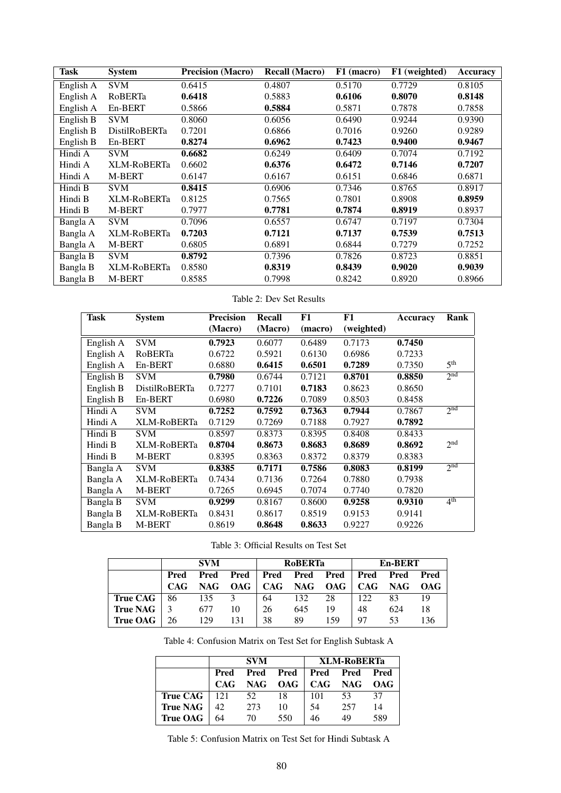| Task      | <b>System</b>        | <b>Precision (Macro)</b> | <b>Recall (Macro)</b> | F1 (macro) | F1 (weighted) | <b>Accuracy</b> |
|-----------|----------------------|--------------------------|-----------------------|------------|---------------|-----------------|
| English A | <b>SVM</b>           | 0.6415                   | 0.4807                | 0.5170     | 0.7729        | 0.8105          |
| English A | RoBERTa              | 0.6418                   | 0.5883                | 0.6106     | 0.8070        | 0.8148          |
| English A | En-BERT              | 0.5866                   | 0.5884                | 0.5871     | 0.7878        | 0.7858          |
| English B | <b>SVM</b>           | 0.8060                   | 0.6056                | 0.6490     | 0.9244        | 0.9390          |
| English B | <b>DistilRoBERTa</b> | 0.7201                   | 0.6866                | 0.7016     | 0.9260        | 0.9289          |
| English B | En-BERT              | 0.8274                   | 0.6962                | 0.7423     | 0.9400        | 0.9467          |
| Hindi A   | <b>SVM</b>           | 0.6682                   | 0.6249                | 0.6409     | 0.7074        | 0.7192          |
| Hindi A   | XLM-RoBERTa          | 0.6602                   | 0.6376                | 0.6472     | 0.7146        | 0.7207          |
| Hindi A   | M-BERT               | 0.6147                   | 0.6167                | 0.6151     | 0.6846        | 0.6871          |
| Hindi B   | <b>SVM</b>           | 0.8415                   | 0.6906                | 0.7346     | 0.8765        | 0.8917          |
| Hindi B   | XLM-RoBERTa          | 0.8125                   | 0.7565                | 0.7801     | 0.8908        | 0.8959          |
| Hindi B   | M-BERT               | 0.7977                   | 0.7781                | 0.7874     | 0.8919        | 0.8937          |
| Bangla A  | <b>SVM</b>           | 0.7096                   | 0.6557                | 0.6747     | 0.7197        | 0.7304          |
| Bangla A  | <b>XLM-RoBERTa</b>   | 0.7203                   | 0.7121                | 0.7137     | 0.7539        | 0.7513          |
| Bangla A  | M-BERT               | 0.6805                   | 0.6891                | 0.6844     | 0.7279        | 0.7252          |
| Bangla B  | <b>SVM</b>           | 0.8792                   | 0.7396                | 0.7826     | 0.8723        | 0.8851          |
| Bangla B  | XLM-RoBERTa          | 0.8580                   | 0.8319                | 0.8439     | 0.9020        | 0.9039          |
| Bangla B  | M-BERT               | 0.8585                   | 0.7998                | 0.8242     | 0.8920        | 0.8966          |

# <span id="page-4-1"></span><span id="page-4-0"></span>Table 2: Dev Set Results

| <b>Task</b> | <b>System</b>        | <b>Precision</b> | Recall  | F1      | F1         | Accuracy | Rank            |
|-------------|----------------------|------------------|---------|---------|------------|----------|-----------------|
|             |                      | (Macro)          | (Macro) | (macro) | (weighted) |          |                 |
| English A   | <b>SVM</b>           | 0.7923           | 0.6077  | 0.6489  | 0.7173     | 0.7450   |                 |
| English A   | RoBERTa              | 0.6722           | 0.5921  | 0.6130  | 0.6986     | 0.7233   |                 |
| English A   | En-BERT              | 0.6880           | 0.6415  | 0.6501  | 0.7289     | 0.7350   | 5 <sup>th</sup> |
| English B   | <b>SVM</b>           | 0.7980           | 0.6744  | 0.7121  | 0.8701     | 0.8850   | 2 <sup>nd</sup> |
| English B   | <b>DistilRoBERTa</b> | 0.7277           | 0.7101  | 0.7183  | 0.8623     | 0.8650   |                 |
| English B   | En-BERT              | 0.6980           | 0.7226  | 0.7089  | 0.8503     | 0.8458   |                 |
| Hindi A     | <b>SVM</b>           | 0.7252           | 0.7592  | 0.7363  | 0.7944     | 0.7867   | 2 <sup>nd</sup> |
| Hindi A     | XLM-RoBERTa          | 0.7129           | 0.7269  | 0.7188  | 0.7927     | 0.7892   |                 |
| Hindi B     | <b>SVM</b>           | 0.8597           | 0.8373  | 0.8395  | 0.8408     | 0.8433   |                 |
| Hindi B     | XLM-RoBERTa          | 0.8704           | 0.8673  | 0.8683  | 0.8689     | 0.8692   | 2 <sup>nd</sup> |
| Hindi B     | <b>M-BERT</b>        | 0.8395           | 0.8363  | 0.8372  | 0.8379     | 0.8383   |                 |
| Bangla A    | <b>SVM</b>           | 0.8385           | 0.7171  | 0.7586  | 0.8083     | 0.8199   | 2 <sup>nd</sup> |
| Bangla A    | XLM-RoBERTa          | 0.7434           | 0.7136  | 0.7264  | 0.7880     | 0.7938   |                 |
| Bangla A    | <b>M-BERT</b>        | 0.7265           | 0.6945  | 0.7074  | 0.7740     | 0.7820   |                 |
| Bangla B    | <b>SVM</b>           | 0.9299           | 0.8167  | 0.8600  | 0.9258     | 0.9310   | 4 <sup>th</sup> |
| Bangla B    | XLM-RoBERTa          | 0.8431           | 0.8617  | 0.8519  | 0.9153     | 0.9141   |                 |
| Bangla B    | <b>M-BERT</b>        | 0.8619           | 0.8648  | 0.8633  | 0.9227     | 0.9226   |                 |

<span id="page-4-2"></span>Table 3: Official Results on Test Set

|                 |            | <b>SVM</b> |            |    | <b>RoBERTa</b> |                          | En-BERT |     |            |
|-----------------|------------|------------|------------|----|----------------|--------------------------|---------|-----|------------|
|                 | Pred       | Pred       | Pred       |    |                | Pred Pred Pred Pred Pred |         |     | Pred       |
|                 | <b>CAG</b> | NAG.       | <b>OAG</b> |    |                | CAG NAG OAG              | CAG     | NAG | <b>OAG</b> |
| <b>True CAG</b> | 86         | 135        | 3          | 64 | 132            | 28                       | 122     | 83  | 19         |
| True NAG        |            | 677        | 10         | 26 | 645            | 19                       | 48      | 624 | 18         |
| <b>True OAG</b> | 26         | 129        | 131        | 38 | 89             | 159                      | 97      | 53  | 136        |

Table 4: Confusion Matrix on Test Set for English Subtask A

|                          |      | <b>SVM</b> |                            | XLM-RoBERTa |             |     |  |
|--------------------------|------|------------|----------------------------|-------------|-------------|-----|--|
|                          | Pred |            | Pred Pred   Pred Pred Pred |             |             |     |  |
|                          | CAG  |            | $NAG$ OAG                  |             | CAG NAG OAG |     |  |
| True CAG $\parallel$ 121 |      | 52         | 18                         | -101        | 53          | 37  |  |
| <b>True NAG</b>          | 42.  | 273        | 10                         | 54          | 257         | 14  |  |
| <b>True OAG</b>          | 64   | 70         | 550                        | 46          | 49          | 589 |  |

Table 5: Confusion Matrix on Test Set for Hindi Subtask A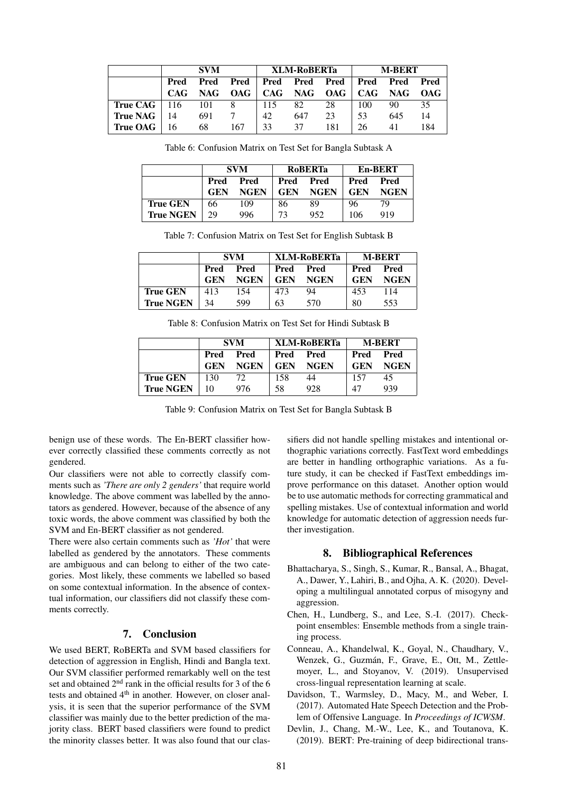|                          |      | <b>SVM</b>       |     |     | XLM-RoBERTa |                                         | <b>M-BERT</b> |     |     |
|--------------------------|------|------------------|-----|-----|-------------|-----------------------------------------|---------------|-----|-----|
|                          | Pred | Pred             |     |     |             | Pred Pred Pred Pred Pred Pred Pred      |               |     |     |
|                          |      |                  |     |     |             | CAG NAG OAG   CAG NAG OAG   CAG NAG OAG |               |     |     |
| True CAG $\parallel$ 116 |      | $\overline{101}$ | 8   | 115 | 82          | 28                                      | -100          | 90  | 35  |
| True NAG $\parallel$ 14  |      | 691              |     | 42  | 647         | 23                                      | .53           | 645 | 14  |
| <b>True OAG</b>   $16$   |      | 68               | 167 | 33  | 37          | 181                                     | 26            | 41  | 184 |

<span id="page-5-6"></span>Table 6: Confusion Matrix on Test Set for Bangla Subtask A

|                  | <b>SVM</b>   |             |            | <b>ROBERTa</b> | En-BERT    |             |
|------------------|--------------|-------------|------------|----------------|------------|-------------|
|                  | Pred<br>Pred |             | Pred       | Pred           | Pred       | Pred        |
|                  | <b>GEN</b>   | <b>NGEN</b> | <b>GEN</b> | <b>NGEN</b>    | <b>GEN</b> | <b>NGEN</b> |
| <b>True GEN</b>  | 66           | 109         | 86         | 89             | 96         | 79          |
| <b>True NGEN</b> | 29           | 996         | 73         | 952            | 106        | 919         |

Table 7: Confusion Matrix on Test Set for English Subtask B

|                  |              | <b>SVM</b>  |            | XLM-RoBERTa | <b>M-BERT</b> |             |
|------------------|--------------|-------------|------------|-------------|---------------|-------------|
|                  | Pred<br>Pred |             | Pred       | Pred        | Pred          | Pred        |
|                  | <b>GEN</b>   | <b>NGEN</b> | <b>GEN</b> | <b>NGEN</b> | <b>GEN</b>    | <b>NGEN</b> |
| <b>True GEN</b>  | 413          | 154         | 473        | 94          | 453           | 114         |
| <b>True NGEN</b> | 34           | 599         | 63         | 570         | 80            | 553         |

Table 8: Confusion Matrix on Test Set for Hindi Subtask B

|                  |                    | <b>SVM</b>          |                    | XLM-RoBERTa         | <b>M-BERT</b>      |                     |
|------------------|--------------------|---------------------|--------------------|---------------------|--------------------|---------------------|
|                  | Pred<br><b>GEN</b> | Pred<br><b>NGEN</b> | Pred<br><b>GEN</b> | Pred<br><b>NGEN</b> | Pred<br><b>GEN</b> | Pred<br><b>NGEN</b> |
| <b>True GEN</b>  | 130                | 72                  | 158                | 44                  | 157                | 45                  |
| <b>True NGEN</b> | 10                 | 976                 | 58                 | 928                 | 47                 | 939                 |

Table 9: Confusion Matrix on Test Set for Bangla Subtask B

benign use of these words. The En-BERT classifier however correctly classified these comments correctly as not gendered.

Our classifiers were not able to correctly classify comments such as *'There are only 2 genders'* that require world knowledge. The above comment was labelled by the annotators as gendered. However, because of the absence of any toxic words, the above comment was classified by both the SVM and En-BERT classifier as not gendered.

There were also certain comments such as *'Hot'* that were labelled as gendered by the annotators. These comments are ambiguous and can belong to either of the two categories. Most likely, these comments we labelled so based on some contextual information. In the absence of contextual information, our classifiers did not classify these comments correctly.

## 7. Conclusion

We used BERT, RoBERTa and SVM based classifiers for detection of aggression in English, Hindi and Bangla text. Our SVM classifier performed remarkably well on the test set and obtained 2<sup>nd</sup> rank in the official results for 3 of the 6 tests and obtained 4<sup>th</sup> in another. However, on closer analysis, it is seen that the superior performance of the SVM classifier was mainly due to the better prediction of the majority class. BERT based classifiers were found to predict the minority classes better. It was also found that our clas<span id="page-5-5"></span>sifiers did not handle spelling mistakes and intentional orthographic variations correctly. FastText word embeddings are better in handling orthographic variations. As a future study, it can be checked if FastText embeddings improve performance on this dataset. Another option would be to use automatic methods for correcting grammatical and spelling mistakes. Use of contextual information and world knowledge for automatic detection of aggression needs further investigation.

### 8. Bibliographical References

- <span id="page-5-1"></span>Bhattacharya, S., Singh, S., Kumar, R., Bansal, A., Bhagat, A., Dawer, Y., Lahiri, B., and Ojha, A. K. (2020). Developing a multilingual annotated corpus of misogyny and aggression.
- <span id="page-5-3"></span>Chen, H., Lundberg, S., and Lee, S.-I. (2017). Checkpoint ensembles: Ensemble methods from a single training process.
- <span id="page-5-4"></span>Conneau, A., Khandelwal, K., Goyal, N., Chaudhary, V., Wenzek, G., Guzmán, F., Grave, E., Ott, M., Zettlemoyer, L., and Stoyanov, V. (2019). Unsupervised cross-lingual representation learning at scale.
- <span id="page-5-0"></span>Davidson, T., Warmsley, D., Macy, M., and Weber, I. (2017). Automated Hate Speech Detection and the Problem of Offensive Language. In *Proceedings of ICWSM*.
- <span id="page-5-2"></span>Devlin, J., Chang, M.-W., Lee, K., and Toutanova, K. (2019). BERT: Pre-training of deep bidirectional trans-